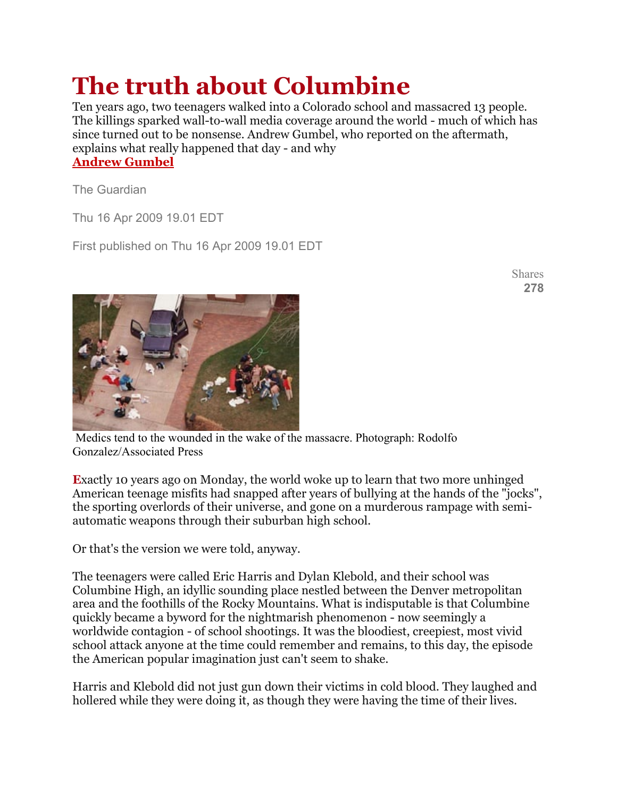## **The truth about Columbine**

Ten years ago, two teenagers walked into a Colorado school and massacred 13 people. The killings sparked wall-to-wall media coverage around the world - much of which has since turned out to be nonsense. Andrew Gumbel, who reported on the aftermath, explains what really happened that day - and why **[Andrew Gumbel](https://www.theguardian.com/profile/andrew-gumbel)**

The Guardian

Thu 16 Apr 2009 19.01 EDT

First published on Thu 16 Apr 2009 19.01 EDT



Medics tend to the wounded in the wake of the massacre. Photograph: Rodolfo Gonzalez/Associated Press

**E**xactly 10 years ago on Monday, the world woke up to learn that two more unhinged American teenage misfits had snapped after years of bullying at the hands of the "jocks", the sporting overlords of their universe, and gone on a murderous rampage with semiautomatic weapons through their suburban high school.

Or that's the version we were told, anyway.

The teenagers were called Eric Harris and Dylan Klebold, and their school was Columbine High, an idyllic sounding place nestled between the Denver metropolitan area and the foothills of the Rocky Mountains. What is indisputable is that Columbine quickly became a byword for the nightmarish phenomenon - now seemingly a worldwide contagion - of school shootings. It was the bloodiest, creepiest, most vivid school attack anyone at the time could remember and remains, to this day, the episode the American popular imagination just can't seem to shake.

Harris and Klebold did not just gun down their victims in cold blood. They laughed and hollered while they were doing it, as though they were having the time of their lives.

Shares **278**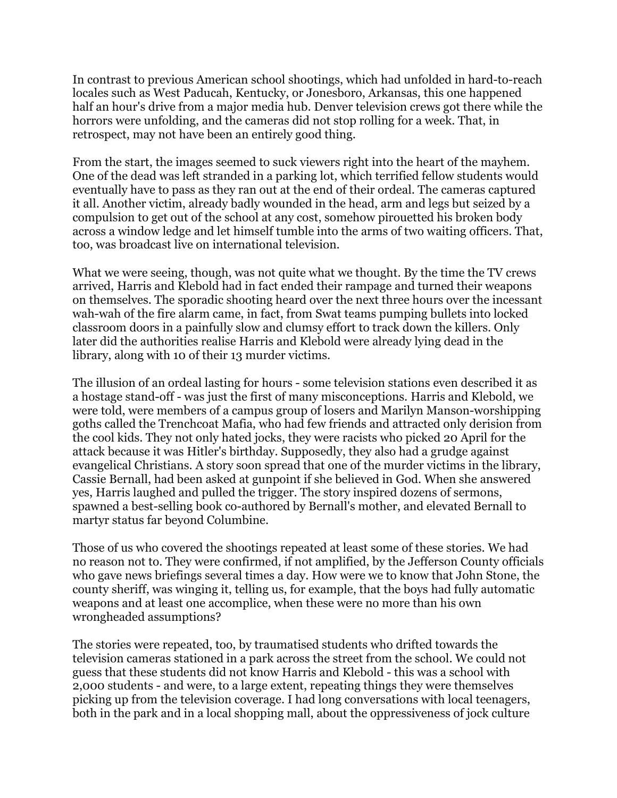In contrast to previous American school shootings, which had unfolded in hard-to-reach locales such as West Paducah, Kentucky, or Jonesboro, Arkansas, this one happened half an hour's drive from a major media hub. Denver television crews got there while the horrors were unfolding, and the cameras did not stop rolling for a week. That, in retrospect, may not have been an entirely good thing.

From the start, the images seemed to suck viewers right into the heart of the mayhem. One of the dead was left stranded in a parking lot, which terrified fellow students would eventually have to pass as they ran out at the end of their ordeal. The cameras captured it all. Another victim, already badly wounded in the head, arm and legs but seized by a compulsion to get out of the school at any cost, somehow pirouetted his broken body across a window ledge and let himself tumble into the arms of two waiting officers. That, too, was broadcast live on international television.

What we were seeing, though, was not quite what we thought. By the time the TV crews arrived, Harris and Klebold had in fact ended their rampage and turned their weapons on themselves. The sporadic shooting heard over the next three hours over the incessant wah-wah of the fire alarm came, in fact, from Swat teams pumping bullets into locked classroom doors in a painfully slow and clumsy effort to track down the killers. Only later did the authorities realise Harris and Klebold were already lying dead in the library, along with 10 of their 13 murder victims.

The illusion of an ordeal lasting for hours - some television stations even described it as a hostage stand-off - was just the first of many misconceptions. Harris and Klebold, we were told, were members of a campus group of losers and Marilyn Manson-worshipping goths called the Trenchcoat Mafia, who had few friends and attracted only derision from the cool kids. They not only hated jocks, they were racists who picked 20 April for the attack because it was Hitler's birthday. Supposedly, they also had a grudge against evangelical Christians. A story soon spread that one of the murder victims in the library, Cassie Bernall, had been asked at gunpoint if she believed in God. When she answered yes, Harris laughed and pulled the trigger. The story inspired dozens of sermons, spawned a best-selling book co-authored by Bernall's mother, and elevated Bernall to martyr status far beyond Columbine.

Those of us who covered the shootings repeated at least some of these stories. We had no reason not to. They were confirmed, if not amplified, by the Jefferson County officials who gave news briefings several times a day. How were we to know that John Stone, the county sheriff, was winging it, telling us, for example, that the boys had fully automatic weapons and at least one accomplice, when these were no more than his own wrongheaded assumptions?

The stories were repeated, too, by traumatised students who drifted towards the television cameras stationed in a park across the street from the school. We could not guess that these students did not know Harris and Klebold - this was a school with 2,000 students - and were, to a large extent, repeating things they were themselves picking up from the television coverage. I had long conversations with local teenagers, both in the park and in a local shopping mall, about the oppressiveness of jock culture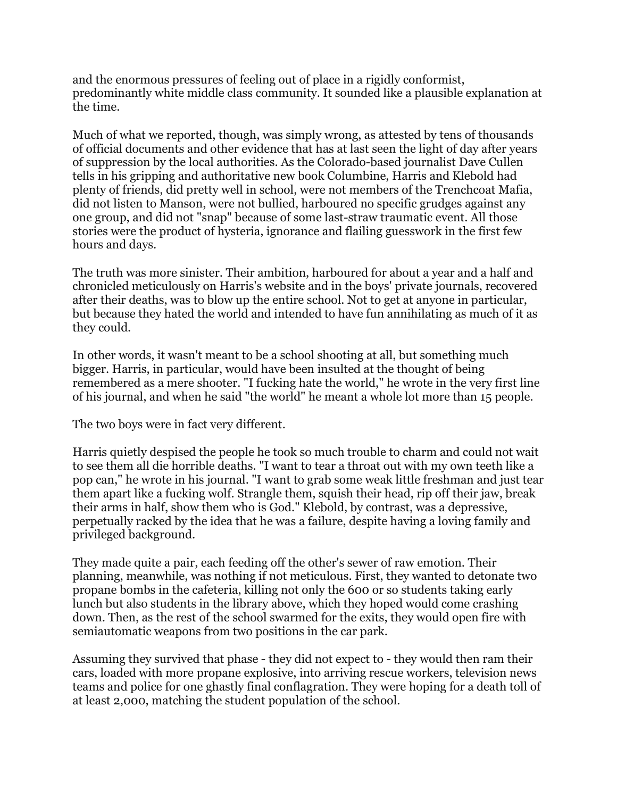and the enormous pressures of feeling out of place in a rigidly conformist, predominantly white middle class community. It sounded like a plausible explanation at the time.

Much of what we reported, though, was simply wrong, as attested by tens of thousands of official documents and other evidence that has at last seen the light of day after years of suppression by the local authorities. As the Colorado-based journalist Dave Cullen tells in his gripping and authoritative new book Columbine, Harris and Klebold had plenty of friends, did pretty well in school, were not members of the Trenchcoat Mafia, did not listen to Manson, were not bullied, harboured no specific grudges against any one group, and did not "snap" because of some last-straw traumatic event. All those stories were the product of hysteria, ignorance and flailing guesswork in the first few hours and days.

The truth was more sinister. Their ambition, harboured for about a year and a half and chronicled meticulously on Harris's website and in the boys' private journals, recovered after their deaths, was to blow up the entire school. Not to get at anyone in particular, but because they hated the world and intended to have fun annihilating as much of it as they could.

In other words, it wasn't meant to be a school shooting at all, but something much bigger. Harris, in particular, would have been insulted at the thought of being remembered as a mere shooter. "I fucking hate the world," he wrote in the very first line of his journal, and when he said "the world" he meant a whole lot more than 15 people.

The two boys were in fact very different.

Harris quietly despised the people he took so much trouble to charm and could not wait to see them all die horrible deaths. "I want to tear a throat out with my own teeth like a pop can," he wrote in his journal. "I want to grab some weak little freshman and just tear them apart like a fucking wolf. Strangle them, squish their head, rip off their jaw, break their arms in half, show them who is God." Klebold, by contrast, was a depressive, perpetually racked by the idea that he was a failure, despite having a loving family and privileged background.

They made quite a pair, each feeding off the other's sewer of raw emotion. Their planning, meanwhile, was nothing if not meticulous. First, they wanted to detonate two propane bombs in the cafeteria, killing not only the 600 or so students taking early lunch but also students in the library above, which they hoped would come crashing down. Then, as the rest of the school swarmed for the exits, they would open fire with semiautomatic weapons from two positions in the car park.

Assuming they survived that phase - they did not expect to - they would then ram their cars, loaded with more propane explosive, into arriving rescue workers, television news teams and police for one ghastly final conflagration. They were hoping for a death toll of at least 2,000, matching the student population of the school.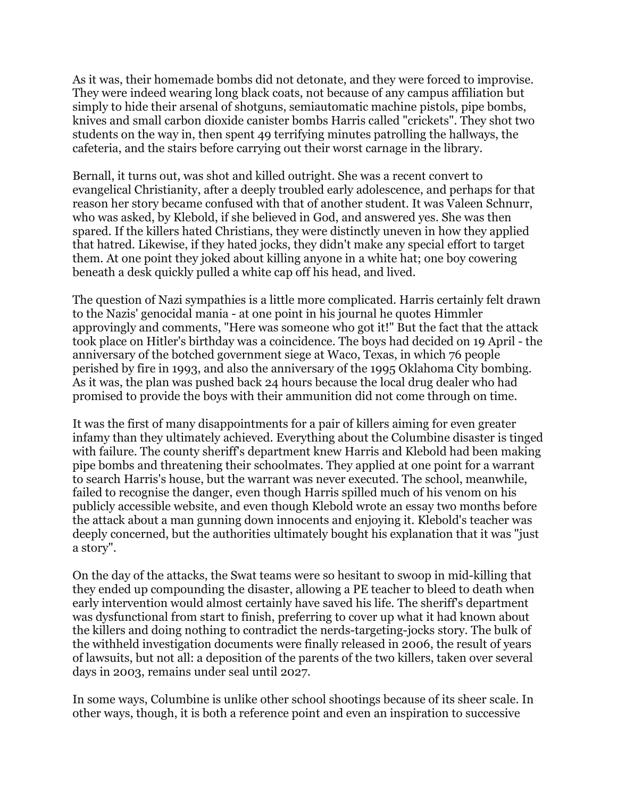As it was, their homemade bombs did not detonate, and they were forced to improvise. They were indeed wearing long black coats, not because of any campus affiliation but simply to hide their arsenal of shotguns, semiautomatic machine pistols, pipe bombs, knives and small carbon dioxide canister bombs Harris called "crickets". They shot two students on the way in, then spent 49 terrifying minutes patrolling the hallways, the cafeteria, and the stairs before carrying out their worst carnage in the library.

Bernall, it turns out, was shot and killed outright. She was a recent convert to evangelical Christianity, after a deeply troubled early adolescence, and perhaps for that reason her story became confused with that of another student. It was Valeen Schnurr, who was asked, by Klebold, if she believed in God, and answered yes. She was then spared. If the killers hated Christians, they were distinctly uneven in how they applied that hatred. Likewise, if they hated jocks, they didn't make any special effort to target them. At one point they joked about killing anyone in a white hat; one boy cowering beneath a desk quickly pulled a white cap off his head, and lived.

The question of Nazi sympathies is a little more complicated. Harris certainly felt drawn to the Nazis' genocidal mania - at one point in his journal he quotes Himmler approvingly and comments, "Here was someone who got it!" But the fact that the attack took place on Hitler's birthday was a coincidence. The boys had decided on 19 April - the anniversary of the botched government siege at Waco, Texas, in which 76 people perished by fire in 1993, and also the anniversary of the 1995 Oklahoma City bombing. As it was, the plan was pushed back 24 hours because the local drug dealer who had promised to provide the boys with their ammunition did not come through on time.

It was the first of many disappointments for a pair of killers aiming for even greater infamy than they ultimately achieved. Everything about the Columbine disaster is tinged with failure. The county sheriff's department knew Harris and Klebold had been making pipe bombs and threatening their schoolmates. They applied at one point for a warrant to search Harris's house, but the warrant was never executed. The school, meanwhile, failed to recognise the danger, even though Harris spilled much of his venom on his publicly accessible website, and even though Klebold wrote an essay two months before the attack about a man gunning down innocents and enjoying it. Klebold's teacher was deeply concerned, but the authorities ultimately bought his explanation that it was "just a story".

On the day of the attacks, the Swat teams were so hesitant to swoop in mid-killing that they ended up compounding the disaster, allowing a PE teacher to bleed to death when early intervention would almost certainly have saved his life. The sheriff's department was dysfunctional from start to finish, preferring to cover up what it had known about the killers and doing nothing to contradict the nerds-targeting-jocks story. The bulk of the withheld investigation documents were finally released in 2006, the result of years of lawsuits, but not all: a deposition of the parents of the two killers, taken over several days in 2003, remains under seal until 2027.

In some ways, Columbine is unlike other school shootings because of its sheer scale. In other ways, though, it is both a reference point and even an inspiration to successive